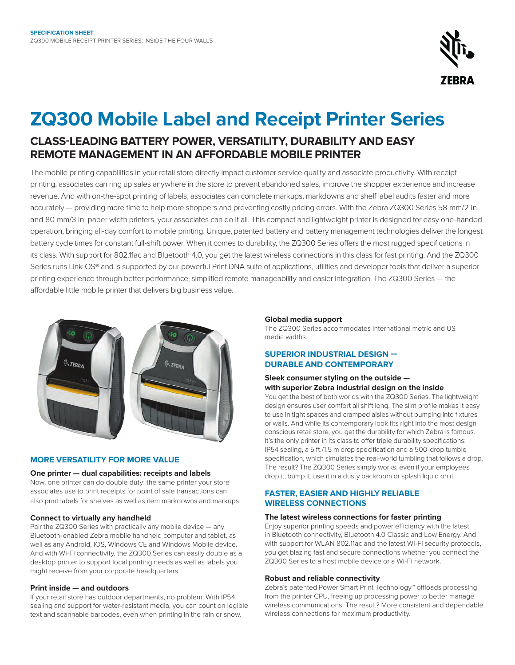

# **ZQ300 Mobile Label and Receipt Printer Series CLASS-LEADING BATTERY POWER, VERSATILITY, DURABILITY AND EASY REMOTE MANAGEMENT IN AN AFFORDABLE MOBILE PRINTER**

The mobile printing capabilities in your retail store directly impact customer service quality and associate productivity. With receipt printing, associates can ring up sales anywhere in the store to prevent abandoned sales, improve the shopper experience and increase revenue. And with on-the-spot printing of labels, associates can complete markups, markdowns and shelf label audits faster and more accurately — providing more time to help more shoppers and preventing costly pricing errors. With the Zebra ZQ300 Series 58 mm/2 in. and 80 mm/3 in. paper width printers, your associates can do it all. This compact and lightweight printer is designed for easy one-handed operation, bringing all-day comfort to mobile printing. Unique, patented battery and battery management technologies deliver the longest battery cycle times for constant full-shift power. When it comes to durability, the ZQ300 Series offers the most rugged specifications in its class. With support for 802.11ac and Bluetooth 4.0, you get the latest wireless connections in this class for fast printing. And the ZQ300 Series runs Link-OS® and is supported by our powerful Print DNA suite of applications, utilities and developer tools that deliver a superior printing experience through better performance, simplified remote manageability and easier integration. The ZQ300 Series — the affordable little mobile printer that delivers big business value.



# **MORE VERSATILITY FOR MORE VALUE**

#### **One printer — dual capabilities: receipts and labels**

Now, one printer can do double duty: the same printer your store associates use to print receipts for point of sale transactions can also print labels for shelves as well as item markdowns and markups.

#### **Connect to virtually any handheld**

Pair the ZQ300 Series with practically any mobile device — any Bluetooth-enabled Zebra mobile handheld computer and tablet, as well as any Android, iOS, Windows CE and Windows Mobile device. And with Wi-Fi connectivity, the ZQ300 Series can easily double as a desktop printer to support local printing needs as well as labels you might receive from your corporate headquarters.

#### **Print inside — and outdoors**

If your retail store has outdoor departments, no problem. With IP54 sealing and support for water-resistant media, you can count on legible text and scannable barcodes, even when printing in the rain or snow.

#### **Global media support**

The ZQ300 Series accommodates international metric and US media widths.

# **SUPERIOR INDUSTRIAL DESIGN — DURABLE AND CONTEMPORARY**

# **Sleek consumer styling on the outside with superior Zebra industrial design on the inside**

You get the best of both worlds with the ZQ300 Series. The lightweight design ensures user comfort all shift long. The slim profile makes it easy to use in tight spaces and cramped aisles without bumping into fixtures or walls. And while its contemporary look fits right into the most design conscious retail store, you get the durability for which Zebra is famous. It's the only printer in its class to offer triple durability specifications: IP54 sealing, a 5 ft./1.5 m drop specification and a 500-drop tumble specification, which simulates the real-world tumbling that follows a drop. The result? The ZQ300 Series simply works, even if your employees drop it, bump it, use it in a dusty backroom or splash liquid on it.

# **FASTER, EASIER AND HIGHLY RELIABLE WIRELESS CONNECTIONS**

### **The latest wireless connections for faster printing**

Enjoy superior printing speeds and power efficiency with the latest in Bluetooth connectivity, Bluetooth 4.0 Classic and Low Energy. And with support for WLAN 802.11ac and the latest Wi-Fi security protocols, you get blazing fast and secure connections whether you connect the ZQ300 Series to a host mobile device or a Wi-Fi network.

#### **Robust and reliable connectivity**

Zebra's patented Power Smart Print Technology™ offloads processing from the printer CPU, freeing up processing power to better manage wireless communications. The result? More consistent and dependable wireless connections for maximum productivity.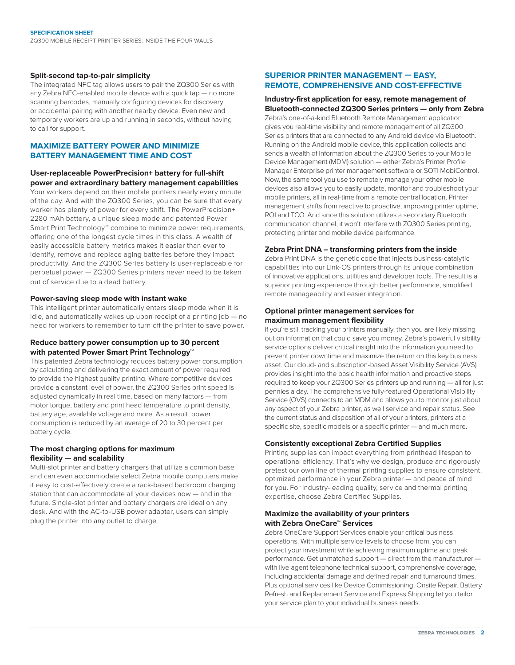#### **Split-second tap-to-pair simplicity**

The integrated NFC tag allows users to pair the ZQ300 Series with any Zebra NFC-enabled mobile device with a quick tap — no more scanning barcodes, manually configuring devices for discovery or accidental pairing with another nearby device. Even new and temporary workers are up and running in seconds, without having to call for support.

# **MAXIMIZE BATTERY POWER AND MINIMIZE BATTERY MANAGEMENT TIME AND COST**

# **User-replaceable PowerPrecision+ battery for full-shift power and extraordinary battery management capabilities**

Your workers depend on their mobile printers nearly every minute of the day. And with the ZQ300 Series, you can be sure that every worker has plenty of power for every shift. The PowerPrecision+ 2280 mAh battery, a unique sleep mode and patented Power Smart Print Technology**™** combine to minimize power requirements, offering one of the longest cycle times in this class. A wealth of easily accessible battery metrics makes it easier than ever to identify, remove and replace aging batteries before they impact productivity. And the ZQ300 Series battery is user-replaceable for perpetual power — ZQ300 Series printers never need to be taken out of service due to a dead battery.

### **Power-saving sleep mode with instant wake**

This intelligent printer automatically enters sleep mode when it is idle, and automatically wakes up upon receipt of a printing job — no need for workers to remember to turn off the printer to save power.

# **Reduce battery power consumption up to 30 percent with patented Power Smart Print Technology™**

This patented Zebra technology reduces battery power consumption by calculating and delivering the exact amount of power required to provide the highest quality printing. Where competitive devices provide a constant level of power, the ZQ300 Series print speed is adjusted dynamically in real time, based on many factors — from motor torque, battery and print head temperature to print density, battery age, available voltage and more. As a result, power consumption is reduced by an average of 20 to 30 percent per battery cycle.

# **The most charging options for maximum flexibility — and scalability**

Multi-slot printer and battery chargers that utilize a common base and can even accommodate select Zebra mobile computers make it easy to cost-effectively create a rack-based backroom charging station that can accommodate all your devices now — and in the future. Single-slot printer and battery chargers are ideal on any desk. And with the AC-to-USB power adapter, users can simply plug the printer into any outlet to charge.

# **SUPERIOR PRINTER MANAGEMENT — EASY, REMOTE, COMPREHENSIVE AND COST-EFFECTIVE**

### **Industry-first application for easy, remote management of Bluetooth-connected ZQ300 Series printers — only from Zebra** Zebra's one-of-a-kind Bluetooth Remote Management application gives you real-time visibility and remote management of all ZQ300 Series printers that are connected to any Android device via Bluetooth. Running on the Android mobile device, this application collects and sends a wealth of information about the ZQ300 Series to your Mobile Device Management (MDM) solution — either Zebra's Printer Profile Manager Enterprise printer management software or SOTI MobiControl. Now, the same tool you use to remotely manage your other mobile devices also allows you to easily update, monitor and troubleshoot your mobile printers, all in real-time from a remote central location. Printer management shifts from reactive to proactive, improving printer uptime, ROI and TCO. And since this solution utilizes a secondary Bluetooth communication channel, it won't interfere with ZQ300 Series printing, protecting printer and mobile device performance.

#### **Zebra Print DNA – transforming printers from the inside**

Zebra Print DNA is the genetic code that injects business-catalytic capabilities into our Link-OS printers through its unique combination of innovative applications, utilities and developer tools. The result is a superior printing experience through better performance, simplified remote manageability and easier integration.

### **Optional printer management services for maximum management flexibility**

If you're still tracking your printers manually, then you are likely missing out on information that could save you money. Zebra's powerful visibility service options deliver critical insight into the information you need to prevent printer downtime and maximize the return on this key business asset. Our cloud- and subscription-based Asset Visibility Service (AVS) provides insight into the basic health information and proactive steps required to keep your ZQ300 Series printers up and running — all for just pennies a day. The comprehensive fully-featured Operational Visibility Service (OVS) connects to an MDM and allows you to monitor just about any aspect of your Zebra printer, as well service and repair status. See the current status and disposition of all of your printers, printers at a specific site, specific models or a specific printer — and much more.

# **Consistently exceptional Zebra Certified Supplies**

Printing supplies can impact everything from printhead lifespan to operational efficiency. That's why we design, produce and rigorously pretest our own line of thermal printing supplies to ensure consistent, optimized performance in your Zebra printer — and peace of mind for you. For industry-leading quality, service and thermal printing expertise, choose Zebra Certified Supplies.

# **Maximize the availability of your printers with Zebra OneCare™ Services**

Zebra OneCare Support Services enable your critical business operations. With multiple service levels to choose from, you can protect your investment while achieving maximum uptime and peak performance. Get unmatched support — direct from the manufacturer with live agent telephone technical support, comprehensive coverage, including accidental damage and defined repair and turnaround times. Plus optional services like Device Commissioning, Onsite Repair, Battery Refresh and Replacement Service and Express Shipping let you tailor your service plan to your individual business needs.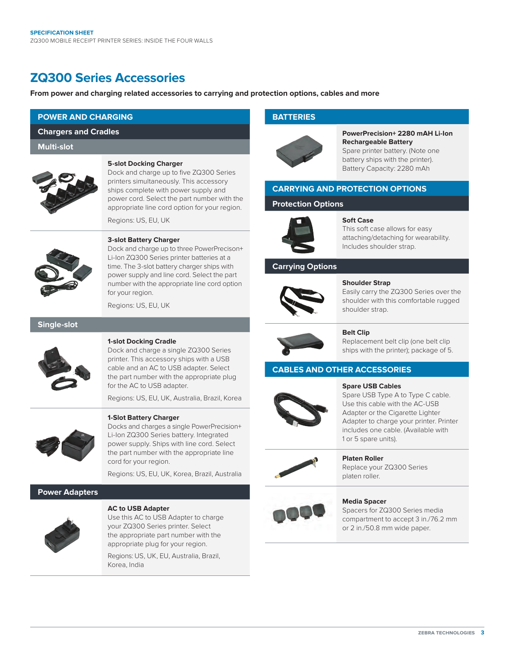# **ZQ300 Series Accessories**

**From power and charging related accessories to carrying and protection options, cables and more**

# **POWER AND CHARGING**

**Chargers and Cradles**

**Multi-slot**

#### **5-slot Docking Charger**

Dock and charge up to five ZQ300 Series printers simultaneously. This accessory ships complete with power supply and power cord. Select the part number with the appropriate line cord option for your region.

Regions: US, EU, UK



# **3-slot Battery Charger**

Dock and charge up to three PowerPrecison+ Li-Ion ZQ300 Series printer batteries at a time. The 3-slot battery charger ships with power supply and line cord. Select the part number with the appropriate line cord option for your region.

Regions: US, EU, UK

#### **Single-slot**



#### **1-slot Docking Cradle**

Dock and charge a single ZQ300 Series printer. This accessory ships with a USB cable and an AC to USB adapter. Select the part number with the appropriate plug for the AC to USB adapter.

Regions: US, EU, UK, Australia, Brazil, Korea



# **1-Slot Battery Charger**

Docks and charges a single PowerPrecision+ Li-Ion ZQ300 Series battery. Integrated power supply. Ships with line cord. Select the part number with the appropriate line cord for your region.

Regions: US, EU, UK, Korea, Brazil, Australia

# **Power Adapters**



#### **AC to USB Adapter**

Use this AC to USB Adapter to charge your ZQ300 Series printer. Select the appropriate part number with the appropriate plug for your region.

Regions: US, UK, EU, Australia, Brazil, Korea, India

# **BATTERIES**



**PowerPrecision+ 2280 mAH Li-Ion Rechargeable Battery**  Spare printer battery. (Note one battery ships with the printer). Battery Capacity: 2280 mAh

# **CARRYING AND PROTECTION OPTIONS**

# **Protection Options**



# **Soft Case**

This soft case allows for easy attaching/detaching for wearability. Includes shoulder strap.

# **Carrying Options**



#### **Shoulder Strap**

Easily carry the ZQ300 Series over the shoulder with this comfortable rugged shoulder strap.



# **Belt Clip**

Replacement belt clip (one belt clip ships with the printer); package of 5.

# **CABLES AND OTHER ACCESSORIES**

#### **Spare USB Cables**  Spare USB Type A to Type C cable. Use this cable with the AC-USB Adapter or the Cigarette Lighter Adapter to charge your printer. Printer

includes one cable. (Available with



**Platen Roller**  Replace your ZQ300 Series platen roller.

1 or 5 spare units).



#### **Media Spacer**  Spacers for ZQ300 Series media compartment to accept 3 in./76.2 mm or 2 in./50.8 mm wide paper.

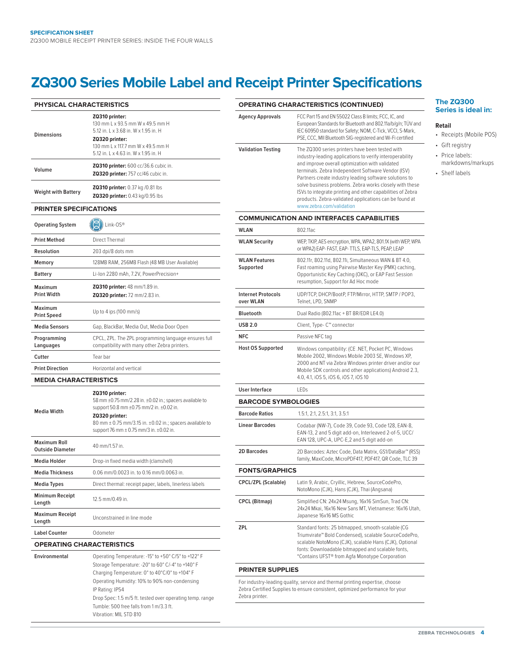# **ZQ300 Series Mobile Label and Receipt Printer Specifications**

| <b>PHYSICAL CHARACTERISTICS</b>                                                                                            |                                                                                                                                                                                                                                                                  |  |  |  |  |  |
|----------------------------------------------------------------------------------------------------------------------------|------------------------------------------------------------------------------------------------------------------------------------------------------------------------------------------------------------------------------------------------------------------|--|--|--|--|--|
| <b>Dimensions</b>                                                                                                          | ZQ310 printer:<br>130 mm L x 93.5 mm W x 49.5 mm H<br>5.12 in, L x 3.68 in, W x 1.95 in, H<br>ZQ320 printer:<br>130 mm L x 117.7 mm W x 49.5 mm H<br>5.12 in, L x 4.63 in, W x 1.95 in, H                                                                        |  |  |  |  |  |
| Volume                                                                                                                     | ZQ310 printer: 600 cc/36.6 cubic in.<br>ZQ320 printer: 757 cc/46 cubic in.                                                                                                                                                                                       |  |  |  |  |  |
| <b>Weight with Battery</b>                                                                                                 | <b>ZQ310 printer:</b> 0.37 kg /0.81 lbs<br><b>ZQ320 printer:</b> 0.43 kg/0.95 lbs                                                                                                                                                                                |  |  |  |  |  |
| <b>PRINTER SPECIFICATIONS</b>                                                                                              |                                                                                                                                                                                                                                                                  |  |  |  |  |  |
| <b>Operating System</b>                                                                                                    | Link-OS®                                                                                                                                                                                                                                                         |  |  |  |  |  |
| <b>Print Method</b>                                                                                                        | Direct Thermal                                                                                                                                                                                                                                                   |  |  |  |  |  |
| Resolution                                                                                                                 | 203 dpi/8 dots mm                                                                                                                                                                                                                                                |  |  |  |  |  |
| Memory                                                                                                                     | 128MB RAM, 256MB Flash (48 MB User Available)                                                                                                                                                                                                                    |  |  |  |  |  |
| <b>Battery</b>                                                                                                             | Li-Ion 2280 mAh, 7.2V, PowerPrecision+                                                                                                                                                                                                                           |  |  |  |  |  |
| Maximum<br><b>Print Width</b>                                                                                              | ZQ310 printer: 48 mm/1.89 in.<br>ZQ320 printer: 72 mm/2.83 in.                                                                                                                                                                                                   |  |  |  |  |  |
| <b>Maximum</b><br><b>Print Speed</b>                                                                                       | Up to 4 ips (100 mm/s)                                                                                                                                                                                                                                           |  |  |  |  |  |
| <b>Media Sensors</b>                                                                                                       | Gap, BlackBar, Media Out, Media Door Open                                                                                                                                                                                                                        |  |  |  |  |  |
| Programming<br>Languages                                                                                                   | CPCL, ZPL. The ZPL programming language ensures full<br>compatibility with many other Zebra printers.                                                                                                                                                            |  |  |  |  |  |
| Cutter                                                                                                                     | Tear bar                                                                                                                                                                                                                                                         |  |  |  |  |  |
| <b>Print Direction</b>                                                                                                     | Horizontal and vertical                                                                                                                                                                                                                                          |  |  |  |  |  |
| <b>MEDIA CHARACTERISTICS</b>                                                                                               |                                                                                                                                                                                                                                                                  |  |  |  |  |  |
| <b>Media Width</b>                                                                                                         | ZQ310 printer:<br>58 mm ±0.75 mm/2.28 in. ±0.02 in.; spacers available to<br>support 50.8 mm ±0.75 mm/2 in. ±0.02 in.<br>ZQ320 printer:<br>80 mm $\pm$ 0.75 mm/3.15 in. $\pm$ 0.02 in.; spacers available to<br>support 76 mm $\pm$ 0.75 mm/3 in. $\pm$ 0.02 in. |  |  |  |  |  |
| <b>Maximum Roll</b><br><b>Outside Diameter</b>                                                                             | 40 mm/1.57 in.                                                                                                                                                                                                                                                   |  |  |  |  |  |
| Media Holder                                                                                                               | Drop-in fixed media width (clamshell)                                                                                                                                                                                                                            |  |  |  |  |  |
| <b>Media Thickness</b>                                                                                                     | 0.06 mm/0.0023 in. to 0.16 mm/0.0063 in.                                                                                                                                                                                                                         |  |  |  |  |  |
| <b>Media Types</b>                                                                                                         | Direct thermal: receipt paper, labels, linerless labels                                                                                                                                                                                                          |  |  |  |  |  |
| <b>Minimum Receipt</b><br>Length                                                                                           | 12.5 mm/0.49 in.                                                                                                                                                                                                                                                 |  |  |  |  |  |
| <b>Maximum Receipt</b><br>Length                                                                                           | Unconstrained in line mode                                                                                                                                                                                                                                       |  |  |  |  |  |
| <b>Label Counter</b>                                                                                                       | Odometer                                                                                                                                                                                                                                                         |  |  |  |  |  |
| <b>OPERATING CHARACTERISTICS</b>                                                                                           |                                                                                                                                                                                                                                                                  |  |  |  |  |  |
| Operating Temperature: -15° to +50° C/5° to +122° F<br>Environmental<br>Storage Temperature: - 20° to 60° C/-4° to +140° F |                                                                                                                                                                                                                                                                  |  |  |  |  |  |

| Storage Temperature: $-20^{\circ}$ to 60 $^{\circ}$ C/-4 $^{\circ}$ to $+140^{\circ}$ F |
|-----------------------------------------------------------------------------------------|
| Charging Temperature: 0° to 40°C/0° to +104° F                                          |
| Operating Humidity: 10% to 90% non-condensing                                           |
| IP Rating: IP54                                                                         |
| Drop Spec: 1.5 m/5 ft. tested over operating temp. range                                |
| Tumble: 500 free falls from 1 m/3.3 ft.                                                 |
| Vibration: MIL STD 810                                                                  |
|                                                                                         |

|                                        | <b>OPERATING CHARACTERISTICS (CONTINUED)</b>                                                                                                                                                                                                                                                                                                                                                                                                                                                  |  |  |  |  |
|----------------------------------------|-----------------------------------------------------------------------------------------------------------------------------------------------------------------------------------------------------------------------------------------------------------------------------------------------------------------------------------------------------------------------------------------------------------------------------------------------------------------------------------------------|--|--|--|--|
| <b>Agency Approvals</b>                | FCC Part 15 and EN 55022 Class B limits; FCC, IC, and<br>European Standards for Bluetooth and 802.11a/b/g/n; TÜV and<br>IEC 60950 standard for Safety; NOM, C-Tick, VCCI, S-Mark,<br>PSE, CCC, MII Bluetooth SIG-registered and Wi-Fi certified                                                                                                                                                                                                                                               |  |  |  |  |
| <b>Validation Testing</b>              | The ZQ300 series printers have been tested with<br>industry-leading applications to verify interoperability<br>and improve overall optimization with validated<br>terminals. Zebra Independent Software Vendor (ISV)<br>Partners create industry leading software solutions to<br>solve business problems. Zebra works closely with these<br>ISVs to integrate printing and other capabilities of Zebra<br>products. Zebra-validated applications can be found at<br>www.zebra.com/validation |  |  |  |  |
|                                        | <b>COMMUNICATION AND INTERFACES CAPABILITIES</b>                                                                                                                                                                                                                                                                                                                                                                                                                                              |  |  |  |  |
| WLAN                                   | 802.11ac                                                                                                                                                                                                                                                                                                                                                                                                                                                                                      |  |  |  |  |
| <b>WLAN Security</b>                   | WEP, TKIP, AES encryption, WPA, WPA2, 801.1X (with WEP, WPA<br>or WPA2) EAP- FAST, EAP- TTLS, EAP-TLS, PEAP, LEAP                                                                                                                                                                                                                                                                                                                                                                             |  |  |  |  |
| <b>WLAN Features</b><br>Supported      | 802.11r, 802.11d, 802.11i, Simultaneous WAN & BT 4.0,<br>Fast roaming using Pairwise Master Key (PMK) caching,<br>Opportunistic Key Caching (OKC), or EAP Fast Session<br>resumption, Support for Ad Hoc mode                                                                                                                                                                                                                                                                                 |  |  |  |  |
| <b>Internet Protocols</b><br>over WLAN | UDP/TCP, DHCP/BootP, FTP/Mirror, HTTP, SMTP / POP3,<br>Telnet, LPD, SNMP                                                                                                                                                                                                                                                                                                                                                                                                                      |  |  |  |  |
| <b>Bluetooth</b>                       | Dual Radio (802.11ac + BT BR/EDR LE4.0)                                                                                                                                                                                                                                                                                                                                                                                                                                                       |  |  |  |  |
| <b>USB 2.0</b>                         | Client, Type- C™ connector                                                                                                                                                                                                                                                                                                                                                                                                                                                                    |  |  |  |  |
| <b>NFC</b>                             | Passive NFC tag                                                                                                                                                                                                                                                                                                                                                                                                                                                                               |  |  |  |  |
| <b>Host OS Supported</b>               | Windows compatibility: (CE .NET, Pocket PC, Windows<br>Mobile 2002, Windows Mobile 2003 SE, Windows XP,<br>2000 and NT via Zebra Windows printer driver and/or our<br>Mobile SDK controls and other applications) Android 2.3,<br>4.0, 4.1, iOS 5, iOS 6, iOS 7, iOS 10                                                                                                                                                                                                                       |  |  |  |  |
| <b>User Interface</b>                  | LEDs                                                                                                                                                                                                                                                                                                                                                                                                                                                                                          |  |  |  |  |
| <b>BARCODE SYMBOLOGIES</b>             |                                                                                                                                                                                                                                                                                                                                                                                                                                                                                               |  |  |  |  |
| <b>Barcode Ratios</b>                  | 1.5:1, 2:1, 2.5:1, 3:1, 3.5:1                                                                                                                                                                                                                                                                                                                                                                                                                                                                 |  |  |  |  |
| <b>Linear Barcodes</b>                 | Codabar (NW-7), Code 39, Code 93, Code 128, EAN-8,<br>EAN-13, 2 and 5 digit add-on, Interleaved 2-of-5, UCC/<br>EAN 128, UPC-A, UPC-E, 2 and 5 digit add-on                                                                                                                                                                                                                                                                                                                                   |  |  |  |  |
| 2D Barcodes                            | 2D Barcodes: Aztec Code, Data Matrix, GS1/DataBar™ (RSS)<br>family, MaxiCode, MicroPDF417, PDF417, QR Code, TLC 39                                                                                                                                                                                                                                                                                                                                                                            |  |  |  |  |
| <b>FONTS/GRAPHICS</b>                  |                                                                                                                                                                                                                                                                                                                                                                                                                                                                                               |  |  |  |  |
| CPCL/ZPL (Scalable)                    | Latin 9, Arabic, Cryillic, Hebrew, SourceCodePro,<br>NotoMono (CJK), Hans (CJK), Thai (Angsana)                                                                                                                                                                                                                                                                                                                                                                                               |  |  |  |  |
| <b>CPCL (Bitmap)</b>                   | Simplified CN: 24x24 Msung, 16x16 SimSun, Trad CN:<br>24x24 Mkai, 16x16 New Sans MT, Vietnamese: 16x16 Utah,<br>Japanese 16x16 MS Gothic                                                                                                                                                                                                                                                                                                                                                      |  |  |  |  |
| <b>ZPL</b>                             | Standard fonts: 25 bitmapped, smooth-scalable (CG<br>Triumvirate <sup>™</sup> Bold Condensed), scalable SourceCodePro,<br>scalable NotoMono (CJK), scalable Hans (CJK), Optional<br>fonts: Downloadable bitmapped and scalable fonts,<br>*Contains UFST® from Agfa Monotype Corporation                                                                                                                                                                                                       |  |  |  |  |
| <b>PRINTER SUPPLIES</b>                |                                                                                                                                                                                                                                                                                                                                                                                                                                                                                               |  |  |  |  |
|                                        |                                                                                                                                                                                                                                                                                                                                                                                                                                                                                               |  |  |  |  |

For industry-leading quality, service and thermal printing expertise, choose Zebra Certified Supplies to ensure consistent, optimized performance for your Zebra printer.

#### **The ZQ300 Series is ideal in:**

#### **Retail**

- Receipts (Mobile POS)
- Gift registry
- Price labels: markdowns/markups

#### Shelf labels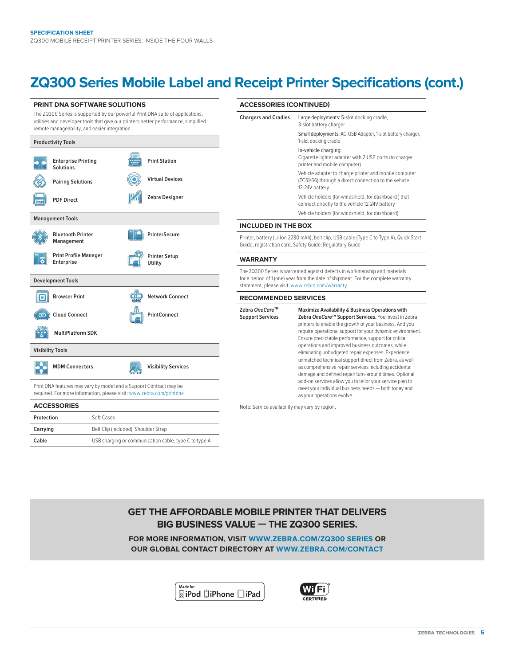Cable USB charging or communication cable, type C to type A

# **ZQ300 Series Mobile Label and Receipt Printer Specifications (cont.)**

| <b>PRINT DNA SOFTWARE SOLUTIONS</b>                                                                                                                                                                                    |                                      | <b>ACCESSORIES (CONTINUED)</b>  |                            |                                                                                                                                                                                                                    |                                                                                                                                                                                                                                  |  |
|------------------------------------------------------------------------------------------------------------------------------------------------------------------------------------------------------------------------|--------------------------------------|---------------------------------|----------------------------|--------------------------------------------------------------------------------------------------------------------------------------------------------------------------------------------------------------------|----------------------------------------------------------------------------------------------------------------------------------------------------------------------------------------------------------------------------------|--|
| The ZQ300 Series is supported by our powerful Print DNA suite of applications,<br>utilities and developer tools that give our printers better performance, simplified<br>remote manageability, and easier integration. |                                      |                                 |                            | <b>Chargers and Cradles</b>                                                                                                                                                                                        | Large deployments: 5-slot docking cradle,<br>3-slot battery charger                                                                                                                                                              |  |
| <b>Productivity Tools</b>                                                                                                                                                                                              |                                      |                                 |                            |                                                                                                                                                                                                                    | Small deployments: AC-USB Adapter, 1-slot battery charger,<br>1-slot docking cradle                                                                                                                                              |  |
| <b>Solutions</b>                                                                                                                                                                                                       | <b>Enterprise Printing</b>           | <b>Print Station</b><br>w.      |                            |                                                                                                                                                                                                                    | In-vehicle charging:<br>Cigarette lighter adapter with 2 USB ports (to charger<br>printer and mobile computer)                                                                                                                   |  |
| <b>Pairing Solutions</b>                                                                                                                                                                                               |                                      |                                 | <b>Virtual Devices</b>     |                                                                                                                                                                                                                    | Vehicle adapter to charge printer and mobile computer<br>(TC51/56) through a direct connection to the vehicle<br>12-24V battery                                                                                                  |  |
| <b>PDF Direct</b>                                                                                                                                                                                                      |                                      |                                 | Zebra Designer             |                                                                                                                                                                                                                    | Vehicle holders (for windshield, for dashboard) that<br>connect directly to the vehicle 12-24V battery                                                                                                                           |  |
| <b>Management Tools</b>                                                                                                                                                                                                |                                      |                                 |                            |                                                                                                                                                                                                                    | Vehicle holders (for windshield, for dashboard)                                                                                                                                                                                  |  |
|                                                                                                                                                                                                                        |                                      |                                 |                            | <b>INCLUDED IN THE BOX</b>                                                                                                                                                                                         |                                                                                                                                                                                                                                  |  |
| <b>Bluetooth Printer</b><br>Management                                                                                                                                                                                 |                                      |                                 | <b>PrinterSecure</b>       | Printer, battery (Li-Ion 2280 mAh), belt clip, USB cable (Type C to Type A), Quick Start<br>Guide, registration card, Safety Guide, Regulatory Guide                                                               |                                                                                                                                                                                                                                  |  |
| ∣ਛ<br>Enterprise                                                                                                                                                                                                       | <b>Print Profile Manager</b>         | <b>Printer Setup</b><br>Utility |                            | <b>WARRANTY</b>                                                                                                                                                                                                    |                                                                                                                                                                                                                                  |  |
| <b>Development Tools</b>                                                                                                                                                                                               |                                      |                                 |                            | The ZQ300 Series is warranted against defects in workmanship and materials<br>for a period of 1 (one) year from the date of shipment. For the complete warranty<br>statement, please visit: www.zebra.com/warranty |                                                                                                                                                                                                                                  |  |
| 回<br><b>Browser Print</b>                                                                                                                                                                                              |                                      |                                 | <b>Network Connect</b>     | <b>RECOMMENDED SERVICES</b>                                                                                                                                                                                        |                                                                                                                                                                                                                                  |  |
| <b>Cloud Connect</b><br>ග                                                                                                                                                                                              |                                      | PrintConnect                    |                            | Zebra OneCare™<br><b>Support Services</b>                                                                                                                                                                          | Maximize Availability & Business Operations with<br>Zebra OneCare™ Support Services. You invest in Zebra<br>printers to enable the growth of your business. And you<br>require operational support for your dynamic environment. |  |
|                                                                                                                                                                                                                        | <b>MultiPlatform SDK</b>             |                                 |                            |                                                                                                                                                                                                                    | Ensure predictable performance, support for critical                                                                                                                                                                             |  |
| <b>Visibility Tools</b>                                                                                                                                                                                                |                                      |                                 |                            |                                                                                                                                                                                                                    | operations and improved business outcomes, while<br>eliminating unbudgeted repair expenses. Experience                                                                                                                           |  |
| <b>MDM Connectors</b>                                                                                                                                                                                                  |                                      |                                 | <b>Visibility Services</b> |                                                                                                                                                                                                                    | unmatched technical support direct from Zebra, as well<br>as comprehensive repair services including accidental<br>damage and defined repair turn-around times. Optional                                                         |  |
| Print DNA features may vary by model and a Support Contract may be<br>required. For more information, please visit: www.zebra.com/printdna                                                                             |                                      |                                 |                            |                                                                                                                                                                                                                    | add-on services allow you to tailor your service plan to<br>meet your individual business needs - both today and<br>as your operations evolve.                                                                                   |  |
| <b>ACCESSORIES</b>                                                                                                                                                                                                     |                                      |                                 |                            | Note: Service availability may vary by region.                                                                                                                                                                     |                                                                                                                                                                                                                                  |  |
| Protection                                                                                                                                                                                                             | Soft Cases                           |                                 |                            |                                                                                                                                                                                                                    |                                                                                                                                                                                                                                  |  |
| Carrying                                                                                                                                                                                                               | Belt Clip (included), Shoulder Strap |                                 |                            |                                                                                                                                                                                                                    |                                                                                                                                                                                                                                  |  |



**FOR MORE INFORMATION, VISIT [WWW.ZEBRA.COM/ZQ300](http://www.zebra.com/zq300series) SERIES OR OUR GLOBAL CONTACT DIRECTORY AT [WWW.ZEBRA.COM/CONTACT](http://www.zebra.com/contact)**

> Made for **SiPod DiPhone DiPad**